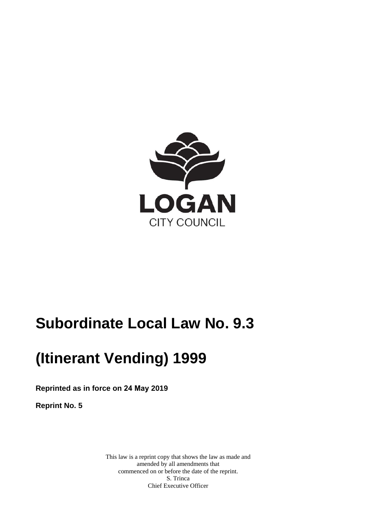

# **Subordinate Local Law No. 9.3**

# **(Itinerant Vending) 1999**

**Reprinted as in force on 24 May 2019** 

**Reprint No. 5** 

This law is a reprint copy that shows the law as made and amended by all amendments that commenced on or before the date of the reprint. S. Trinca Chief Executive Officer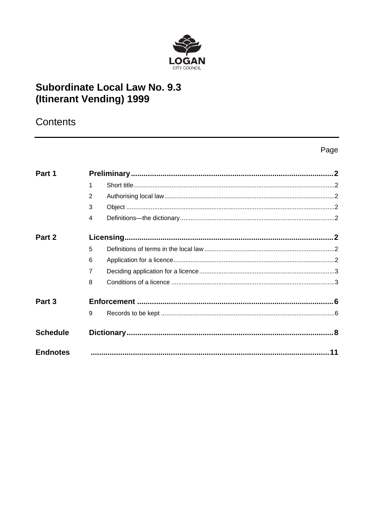

# **Subordinate Local Law No. 9.3** (Itinerant Vending) 1999

# Contents

## Page

| Part 1            |                |  |  |
|-------------------|----------------|--|--|
|                   |                |  |  |
|                   | $\mathcal{P}$  |  |  |
|                   | 3              |  |  |
|                   | $\overline{4}$ |  |  |
| Part 2            |                |  |  |
|                   | 5              |  |  |
|                   | 6              |  |  |
|                   | $\overline{7}$ |  |  |
|                   | 8              |  |  |
| Part <sub>3</sub> |                |  |  |
|                   | 9              |  |  |
| <b>Schedule</b>   |                |  |  |
| <b>Endnotes</b>   |                |  |  |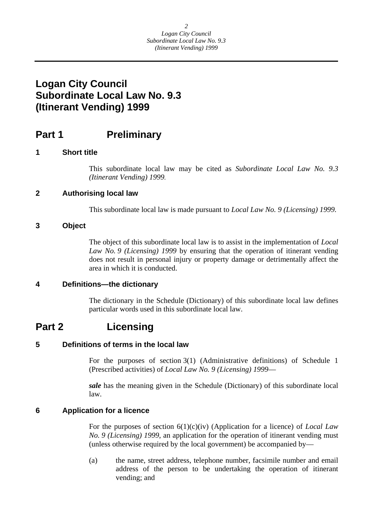# <span id="page-2-0"></span>**Logan City Council Subordinate Local Law No. 9.3 (Itinerant Vending) 1999**

### **Part 1** Preliminary

### **1 Short title**

This subordinate local law may be cited as *Subordinate Local Law No. 9.3 (Itinerant Vending) 1999.* 

### **2 Authorising local law**

This subordinate local law is made pursuant to *Local Law No. 9 (Licensing) 1999.* 

### **3 Object**

The object of this subordinate local law is to assist in the implementation of *Local Law No. 9 (Licensing) 1999* by ensuring that the operation of itinerant vending does not result in personal injury or property damage or detrimentally affect the area in which it is conducted.

### **4 Definitions—the dictionary**

The dictionary in the Schedule (Dictionary) of this subordinate local law defines particular words used in this subordinate local law.

### **Part 2 Licensing**

### **5 Definitions of terms in the local law**

For the purposes of section 3(1) (Administrative definitions) of Schedule 1 (Prescribed activities) of *Local Law No. 9 (Licensing) 1999*—

*sale* has the meaning given in the Schedule (Dictionary) of this subordinate local law.

### **6 Application for a licence**

For the purposes of section 6(1)(c)(iv) (Application for a licence) of *Local Law No. 9 (Licensing) 1999*, an application for the operation of itinerant vending must (unless otherwise required by the local government) be accompanied by—

(a) the name, street address, telephone number, facsimile number and email address of the person to be undertaking the operation of itinerant vending; and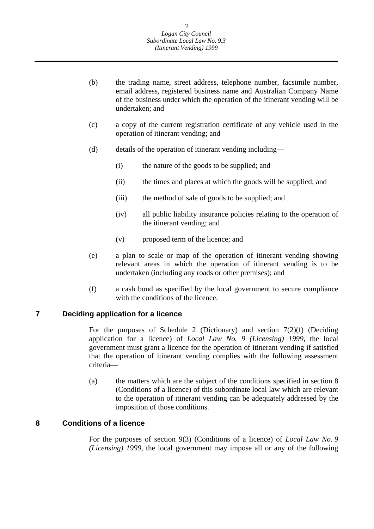- <span id="page-3-0"></span>(b) the trading name, street address, telephone number, facsimile number, email address, registered business name and Australian Company Name of the business under which the operation of the itinerant vending will be undertaken; and
- (c) a copy of the current registration certificate of any vehicle used in the operation of itinerant vending; and
- (d) details of the operation of itinerant vending including—
	- (i) the nature of the goods to be supplied; and
	- (ii) the times and places at which the goods will be supplied; and
	- (iii) the method of sale of goods to be supplied; and
	- (iv) all public liability insurance policies relating to the operation of the itinerant vending; and
	- (v) proposed term of the licence; and
- (e) a plan to scale or map of the operation of itinerant vending showing relevant areas in which the operation of itinerant vending is to be undertaken (including any roads or other premises); and
- (f) a cash bond as specified by the local government to secure compliance with the conditions of the licence.

### **7 Deciding application for a licence**

For the purposes of Schedule 2 (Dictionary) and section  $7(2)(f)$  (Deciding application for a licence) of *Local Law No. 9 (Licensing) 1999*, the local government must grant a licence for the operation of itinerant vending if satisfied that the operation of itinerant vending complies with the following assessment criteria—

(a) the matters which are the subject of the conditions specified in section 8 (Conditions of a licence) of this subordinate local law which are relevant to the operation of itinerant vending can be adequately addressed by the imposition of those conditions.

### **8 Conditions of a licence**

For the purposes of section 9(3) (Conditions of a licence) of *Local Law No. 9 (Licensing) 1999*, the local government may impose all or any of the following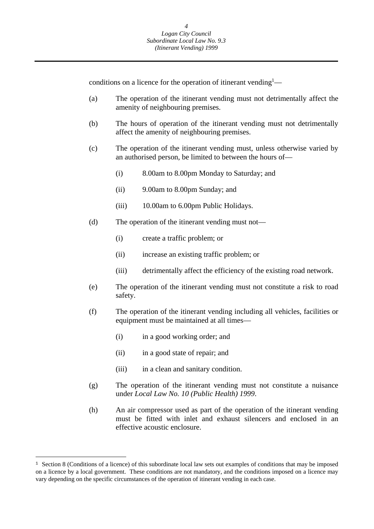conditions on a licence for the operation of itinerant vending<sup>1</sup>—

- (a) The operation of the itinerant vending must not detrimentally affect the amenity of neighbouring premises.
- (b) The hours of operation of the itinerant vending must not detrimentally affect the amenity of neighbouring premises.
- (c) The operation of the itinerant vending must, unless otherwise varied by an authorised person, be limited to between the hours of—
	- (i) 8.00am to 8.00pm Monday to Saturday; and
	- (ii) 9.00am to 8.00pm Sunday; and
	- (iii) 10.00am to 6.00pm Public Holidays.
- (d) The operation of the itinerant vending must not—
	- (i) create a traffic problem; or
	- (ii) increase an existing traffic problem; or
	- (iii) detrimentally affect the efficiency of the existing road network.
- (e) The operation of the itinerant vending must not constitute a risk to road safety.
- (f) The operation of the itinerant vending including all vehicles, facilities or equipment must be maintained at all times—
	- (i) in a good working order; and
	- (ii) in a good state of repair; and
	- (iii) in a clean and sanitary condition.
- (g) The operation of the itinerant vending must not constitute a nuisance under *Local Law No. 10 (Public Health) 1999*.
- (h) An air compressor used as part of the operation of the itinerant vending must be fitted with inlet and exhaust silencers and enclosed in an effective acoustic enclosure.

 $\overline{a}$ 

<sup>&</sup>lt;sup>1</sup> Section 8 (Conditions of a licence) of this subordinate local law sets out examples of conditions that may be imposed on a licence by a local government. These conditions are not mandatory, and the conditions imposed on a licence may vary depending on the specific circumstances of the operation of itinerant vending in each case.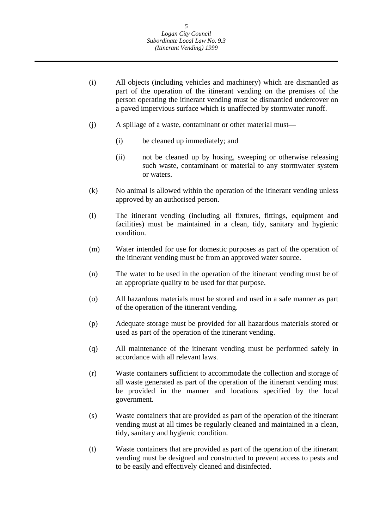- (i) All objects (including vehicles and machinery) which are dismantled as part of the operation of the itinerant vending on the premises of the person operating the itinerant vending must be dismantled undercover on a paved impervious surface which is unaffected by stormwater runoff.
- (j) A spillage of a waste, contaminant or other material must—
	- (i) be cleaned up immediately; and
	- (ii) not be cleaned up by hosing, sweeping or otherwise releasing such waste, contaminant or material to any stormwater system or waters.
- (k) No animal is allowed within the operation of the itinerant vending unless approved by an authorised person.
- (l) The itinerant vending (including all fixtures, fittings, equipment and facilities) must be maintained in a clean, tidy, sanitary and hygienic condition.
- (m) Water intended for use for domestic purposes as part of the operation of the itinerant vending must be from an approved water source.
- (n) The water to be used in the operation of the itinerant vending must be of an appropriate quality to be used for that purpose.
- (o) All hazardous materials must be stored and used in a safe manner as part of the operation of the itinerant vending.
- (p) Adequate storage must be provided for all hazardous materials stored or used as part of the operation of the itinerant vending.
- (q) All maintenance of the itinerant vending must be performed safely in accordance with all relevant laws.
- (r) Waste containers sufficient to accommodate the collection and storage of all waste generated as part of the operation of the itinerant vending must be provided in the manner and locations specified by the local government.
- (s) Waste containers that are provided as part of the operation of the itinerant vending must at all times be regularly cleaned and maintained in a clean, tidy, sanitary and hygienic condition.
- (t) Waste containers that are provided as part of the operation of the itinerant vending must be designed and constructed to prevent access to pests and to be easily and effectively cleaned and disinfected.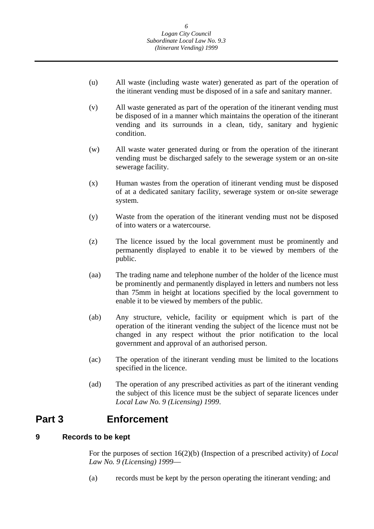- <span id="page-6-0"></span>(u) All waste (including waste water) generated as part of the operation of the itinerant vending must be disposed of in a safe and sanitary manner.
- (v) All waste generated as part of the operation of the itinerant vending must be disposed of in a manner which maintains the operation of the itinerant vending and its surrounds in a clean, tidy, sanitary and hygienic condition.
- (w) All waste water generated during or from the operation of the itinerant vending must be discharged safely to the sewerage system or an on-site sewerage facility.
- (x) Human wastes from the operation of itinerant vending must be disposed of at a dedicated sanitary facility, sewerage system or on-site sewerage system.
- (y) Waste from the operation of the itinerant vending must not be disposed of into waters or a watercourse.
- (z) The licence issued by the local government must be prominently and permanently displayed to enable it to be viewed by members of the public.
- (aa) The trading name and telephone number of the holder of the licence must be prominently and permanently displayed in letters and numbers not less than 75mm in height at locations specified by the local government to enable it to be viewed by members of the public.
- (ab) Any structure, vehicle, facility or equipment which is part of the operation of the itinerant vending the subject of the licence must not be changed in any respect without the prior notification to the local government and approval of an authorised person.
- (ac) The operation of the itinerant vending must be limited to the locations specified in the licence.
- (ad) The operation of any prescribed activities as part of the itinerant vending the subject of this licence must be the subject of separate licences under *Local Law No. 9 (Licensing) 1999*.

## **Part 3 Enforcement**

#### **Records to be kept 9**

For the purposes of section 16(2)(b) (Inspection of a prescribed activity) of *Local Law No. 9 (Licensing) 1999*—

(a) records must be kept by the person operating the itinerant vending; and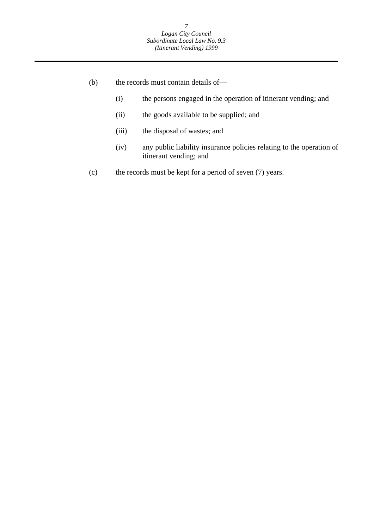- (b) the records must contain details of—
	- (i) the persons engaged in the operation of itinerant vending; and
	- (ii) the goods available to be supplied; and
	- (iii) the disposal of wastes; and
	- (iv) any public liability insurance policies relating to the operation of itinerant vending; and
- (c) the records must be kept for a period of seven (7) years.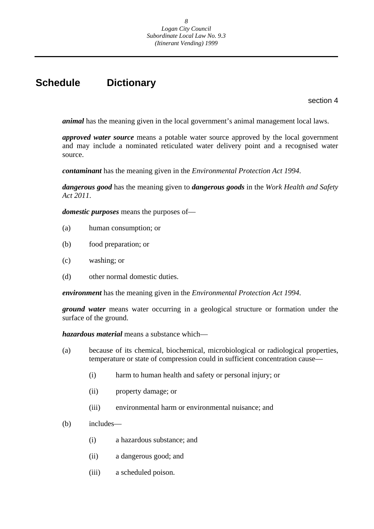# **Schedule Dictionary**

section 4

*animal* has the meaning given in the local government's animal management local laws.

*approved water source* means a potable water source approved by the local government and may include a nominated reticulated water delivery point and a recognised water source.

*contaminant* has the meaning given in the *Environmental Protection Act 1994*.

*dangerous good* has the meaning given to *dangerous goods* in the *Work Health and Safety Act 2011*.

*domestic purposes* means the purposes of—

- (a) human consumption; or
- (b) food preparation; or
- (c) washing; or
- (d) other normal domestic duties.

*environment* has the meaning given in the *Environmental Protection Act 1994*.

*ground water* means water occurring in a geological structure or formation under the surface of the ground.

*hazardous material* means a substance which—

- (a) because of its chemical, biochemical, microbiological or radiological properties, temperature or state of compression could in sufficient concentration cause—
	- (i) harm to human health and safety or personal injury; or
	- (ii) property damage; or
	- (iii) environmental harm or environmental nuisance; and
- (b) includes—
	- (i) a hazardous substance; and
	- (ii) a dangerous good; and
	- (iii) a scheduled poison.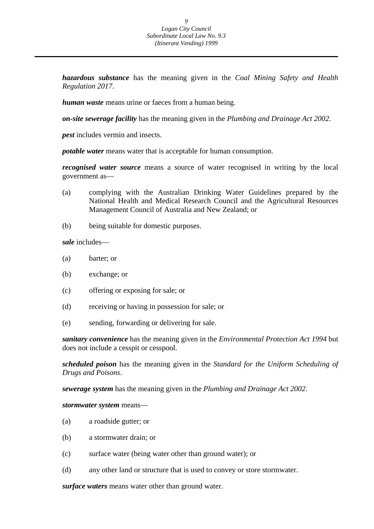*hazardous substance* has the meaning given in the *Coal Mining Safety and Health Regulation 2017*.

*human waste* means urine or faeces from a human being.

*on-site sewerage facility* has the meaning given in the *Plumbing and Drainage Act 2002*.

*pest* includes vermin and insects.

*potable water* means water that is acceptable for human consumption.

*recognised water source* means a source of water recognised in writing by the local government as—

- (a) complying with the Australian Drinking Water Guidelines prepared by the National Health and Medical Research Council and the Agricultural Resources Management Council of Australia and New Zealand; or
- (b) being suitable for domestic purposes.

*sale* includes—

- (a) barter; or
- (b) exchange; or
- (c) offering or exposing for sale; or
- (d) receiving or having in possession for sale; or
- (e) sending, forwarding or delivering for sale.

*sanitary convenience* has the meaning given in the *Environmental Protection Act 1994* but does not include a cesspit or cesspool.

*scheduled poison* has the meaning given in the *Standard for the Uniform Scheduling of Drugs and Poisons*.

*sewerage system* has the meaning given in the *Plumbing and Drainage Act 2002*.

#### *stormwater system* means—

- (a) a roadside gutter; or
- (b) a stormwater drain; or
- (c) surface water (being water other than ground water); or
- (d) any other land or structure that is used to convey or store stormwater.

*surface waters* means water other than ground water.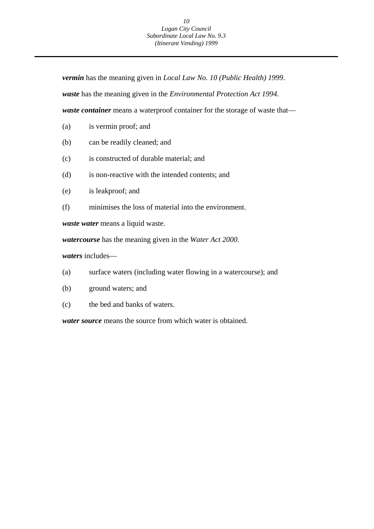*vermin* has the meaning given in *Local Law No. 10 (Public Health) 1999*.

*waste* has the meaning given in the *Environmental Protection Act 1994*.

*waste container* means a waterproof container for the storage of waste that—

- (a) is vermin proof; and
- (b) can be readily cleaned; and
- (c) is constructed of durable material; and
- (d) is non-reactive with the intended contents; and
- (e) is leakproof; and
- (f) minimises the loss of material into the environment.

*waste water* means a liquid waste.

*watercourse* has the meaning given in the *Water Act 2000*.

*waters* includes—

- (a) surface waters (including water flowing in a watercourse); and
- (b) ground waters; and
- (c) the bed and banks of waters.

*water source* means the source from which water is obtained.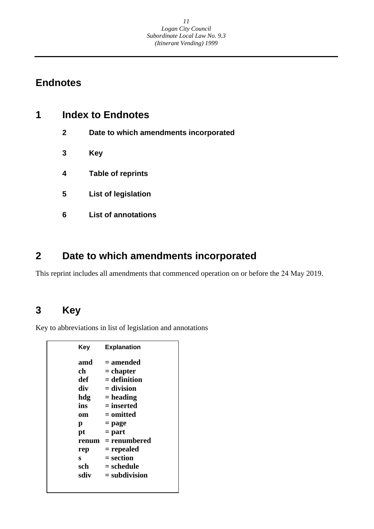# **Endnotes**

| <b>Index to Endnotes</b> |                                       |
|--------------------------|---------------------------------------|
| $\mathbf{2}$             | Date to which amendments incorporated |
| 3                        | Key                                   |
| 4                        | <b>Table of reprints</b>              |
| 5                        | <b>List of legislation</b>            |
| 6                        | <b>List of annotations</b>            |
|                          |                                       |

# **2 Date to which amendments incorporated**

This reprint includes all amendments that commenced operation on or before the 24 May 2019.

# **3 Key**

Key to abbreviations in list of legislation and annotations

| Key   | <b>Explanation</b> |
|-------|--------------------|
| amd   | = amended          |
| ch    | $=$ chapter        |
| def   | $=$ definition     |
| div   | $=$ division       |
| hdg   | $=$ heading        |
| ins   | = inserted         |
| om    | = omitted          |
| р     | = page             |
| pt    | $=$ part           |
| renum | = renumbered       |
| rep   | = repealed         |
| s     | $=$ section        |
| sch   | = schedule         |
| sdiv  | $=$ subdivision    |
|       |                    |
|       |                    |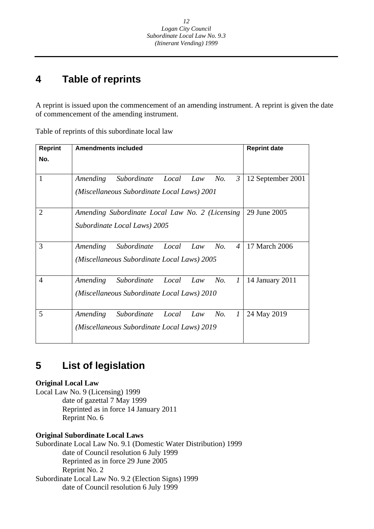#### **4 Table of reprints**

A reprint is issued upon the commencement of an amending instrument. A reprint is given the date of commencement of the amending instrument.

| <b>Reprint</b> | <b>Amendments included</b>                                         | <b>Reprint date</b> |
|----------------|--------------------------------------------------------------------|---------------------|
| No.            |                                                                    |                     |
| 1              | $\mathfrak{Z}$<br>Amending<br>Subordinate<br>Local<br>No.<br>Law   | 12 September 2001   |
|                | (Miscellaneous Subordinate Local Laws) 2001                        |                     |
| $\overline{2}$ | Amending Subordinate Local Law No. 2 (Licensing                    | 29 June 2005        |
|                | Subordinate Local Laws) 2005                                       |                     |
| 3              | No.<br>Subordinate<br>Local<br>$\overline{4}$<br>Amending<br>Law   | 17 March 2006       |
|                | (Miscellaneous Subordinate Local Laws) 2005                        |                     |
| $\overline{4}$ | Amending<br>Subordinate<br>Local<br>No.<br>$\boldsymbol{l}$<br>Law | 14 January 2011     |
|                | (Miscellaneous Subordinate Local Laws) 2010                        |                     |
| 5              | $\mathcal{I}$<br>Amending<br>Subordinate<br>Local<br>No.<br>Law    | 24 May 2019         |
|                | (Miscellaneous Subordinate Local Laws) 2019                        |                     |

Table of reprints of this subordinate local law

#### **5 List of legislation**

### **Original Local Law**

Local Law No. 9 (Licensing) 1999 date of gazettal 7 May 1999 Reprinted as in force 14 January 2011 Reprint No. 6

### **Original Subordinate Local Laws**

Subordinate Local Law No. 9.1 (Domestic Water Distribution) 1999 date of Council resolution 6 July 1999 Reprinted as in force 29 June 2005 Reprint No. 2 Subordinate Local Law No. 9.2 (Election Signs) 1999 date of Council resolution 6 July 1999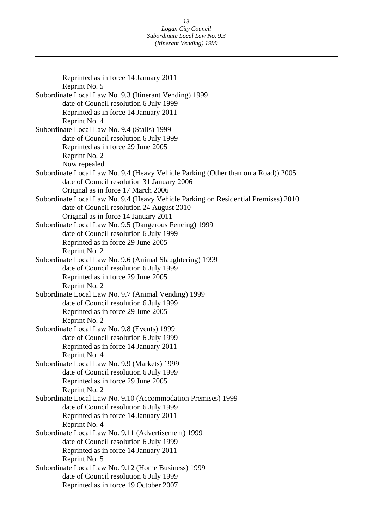Reprinted as in force 14 January 2011 Reprint No. 5 Subordinate Local Law No. 9.3 (Itinerant Vending) 1999 date of Council resolution 6 July 1999 Reprinted as in force 14 January 2011 Reprint No. 4 Subordinate Local Law No. 9.4 (Stalls) 1999 date of Council resolution 6 July 1999 Reprinted as in force 29 June 2005 Reprint No. 2 Now repealed Subordinate Local Law No. 9.4 (Heavy Vehicle Parking (Other than on a Road)) 2005 date of Council resolution 31 January 2006 Original as in force 17 March 2006 Subordinate Local Law No. 9.4 (Heavy Vehicle Parking on Residential Premises) 2010 date of Council resolution 24 August 2010 Original as in force 14 January 2011 Subordinate Local Law No. 9.5 (Dangerous Fencing) 1999 date of Council resolution 6 July 1999 Reprinted as in force 29 June 2005 Reprint No. 2 Subordinate Local Law No. 9.6 (Animal Slaughtering) 1999 date of Council resolution 6 July 1999 Reprinted as in force 29 June 2005 Reprint No. 2 Subordinate Local Law No. 9.7 (Animal Vending) 1999 date of Council resolution 6 July 1999 Reprinted as in force 29 June 2005 Reprint No. 2 Subordinate Local Law No. 9.8 (Events) 1999 date of Council resolution 6 July 1999 Reprinted as in force 14 January 2011 Reprint No. 4 Subordinate Local Law No. 9.9 (Markets) 1999 date of Council resolution 6 July 1999 Reprinted as in force 29 June 2005 Reprint No. 2 Subordinate Local Law No. 9.10 (Accommodation Premises) 1999 date of Council resolution 6 July 1999 Reprinted as in force 14 January 2011 Reprint No. 4 Subordinate Local Law No. 9.11 (Advertisement) 1999 date of Council resolution 6 July 1999 Reprinted as in force 14 January 2011 Reprint No. 5 Subordinate Local Law No. 9.12 (Home Business) 1999 date of Council resolution 6 July 1999 Reprinted as in force 19 October 2007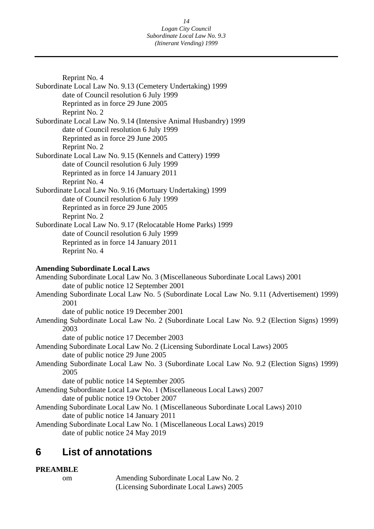Reprint No. 4 Subordinate Local Law No. 9.13 (Cemetery Undertaking) 1999 date of Council resolution 6 July 1999 Reprinted as in force 29 June 2005 Reprint No. 2 Subordinate Local Law No. 9.14 (Intensive Animal Husbandry) 1999 date of Council resolution 6 July 1999 Reprinted as in force 29 June 2005 Reprint No. 2 Subordinate Local Law No. 9.15 (Kennels and Cattery) 1999 date of Council resolution 6 July 1999 Reprinted as in force 14 January 2011 Reprint No. 4 Subordinate Local Law No. 9.16 (Mortuary Undertaking) 1999 date of Council resolution 6 July 1999 Reprinted as in force 29 June 2005 Reprint No. 2 Subordinate Local Law No. 9.17 (Relocatable Home Parks) 1999 date of Council resolution 6 July 1999 Reprinted as in force 14 January 2011 Reprint No. 4 **Amending Subordinate Local Laws**  Amending Subordinate Local Law No. 3 (Miscellaneous Subordinate Local Laws) 2001 date of public notice 12 September 2001 Amending Subordinate Local Law No. 5 (Subordinate Local Law No. 9.11 (Advertisement) 1999) 2001 date of public notice 19 December 2001 Amending Subordinate Local Law No. 2 (Subordinate Local Law No. 9.2 (Election Signs) 1999) 2003 date of public notice 17 December 2003

Amending Subordinate Local Law No. 2 (Licensing Subordinate Local Laws) 2005 date of public notice 29 June 2005

Amending Subordinate Local Law No. 3 (Subordinate Local Law No. 9.2 (Election Signs) 1999) 2005

date of public notice 14 September 2005

Amending Subordinate Local Law No. 1 (Miscellaneous Local Laws) 2007 date of public notice 19 October 2007 Amending Subordinate Local Law No. 1 (Miscellaneous Subordinate Local Laws) 2010

date of public notice 14 January 2011

Amending Subordinate Local Law No. 1 (Miscellaneous Local Laws) 2019 date of public notice 24 May 2019

#### **List of annotations 6**

### **PREAMBLE**

 $\alpha$ m

Amending Subordinate Local Law No. 2 (Licensing Subordinate Local Laws) 2005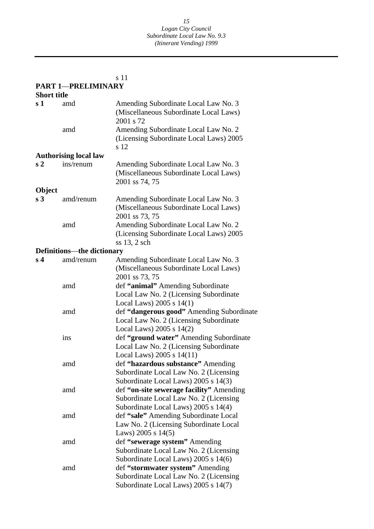|                    |                                   | s 11                                                                                                                       |
|--------------------|-----------------------------------|----------------------------------------------------------------------------------------------------------------------------|
|                    | <b>PART 1-PRELIMINARY</b>         |                                                                                                                            |
| <b>Short title</b> |                                   |                                                                                                                            |
| s 1                | amd                               | Amending Subordinate Local Law No. 3<br>(Miscellaneous Subordinate Local Laws)<br>2001 s 72                                |
|                    | amd                               | Amending Subordinate Local Law No. 2<br>(Licensing Subordinate Local Laws) 2005<br>s 12                                    |
|                    | <b>Authorising local law</b>      |                                                                                                                            |
| s <sub>2</sub>     | ins/renum                         | Amending Subordinate Local Law No. 3<br>(Miscellaneous Subordinate Local Laws)<br>2001 ss 74, 75                           |
| Object             |                                   |                                                                                                                            |
| s <sub>3</sub>     | amd/renum                         | Amending Subordinate Local Law No. 3<br>(Miscellaneous Subordinate Local Laws)<br>2001 ss 73, 75                           |
|                    | amd                               | Amending Subordinate Local Law No. 2<br>(Licensing Subordinate Local Laws) 2005<br>$ss$ 13, 2 sch                          |
|                    | <b>Definitions-the dictionary</b> |                                                                                                                            |
| s <sub>4</sub>     | amd/renum                         | Amending Subordinate Local Law No. 3<br>(Miscellaneous Subordinate Local Laws)<br>2001 ss 73, 75                           |
|                    | amd                               | def "animal" Amending Subordinate<br>Local Law No. 2 (Licensing Subordinate<br>Local Laws) $2005$ s $14(1)$                |
|                    | amd                               | def "dangerous good" Amending Subordinate<br>Local Law No. 2 (Licensing Subordinate<br>Local Laws) $2005$ s $14(2)$        |
|                    | ins                               | def "ground water" Amending Subordinate<br>Local Law No. 2 (Licensing Subordinate<br>Local Laws) $2005 s 14(11)$           |
|                    | amd                               | def "hazardous substance" Amending<br>Subordinate Local Law No. 2 (Licensing<br>Subordinate Local Laws) 2005 s 14(3)       |
|                    | amd                               | def "on-site sewerage facility" Amending<br>Subordinate Local Law No. 2 (Licensing<br>Subordinate Local Laws) 2005 s 14(4) |
|                    | amd                               | def "sale" Amending Subordinate Local<br>Law No. 2 (Licensing Subordinate Local<br>Laws) 2005 s $14(5)$                    |
|                    | amd                               | def "sewerage system" Amending<br>Subordinate Local Law No. 2 (Licensing<br>Subordinate Local Laws) 2005 s 14(6)           |
|                    | amd                               | def "stormwater system" Amending<br>Subordinate Local Law No. 2 (Licensing<br>Subordinate Local Laws) 2005 s 14(7)         |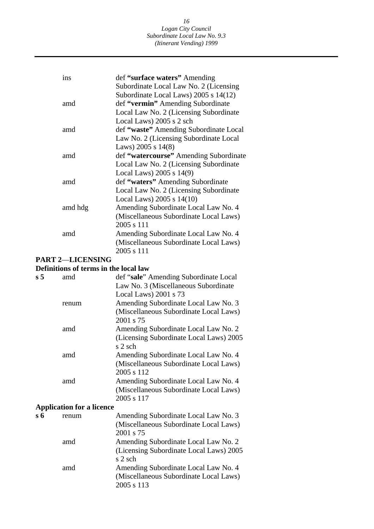#### *16 Logan City Council Subordinate Local Law No. 9.3 (Itinerant Vending) 1999*

| ins     | def "surface waters" Amending          |
|---------|----------------------------------------|
|         | Subordinate Local Law No. 2 (Licensing |
|         | Subordinate Local Laws) 2005 s 14(12)  |
| amd     | def "vermin" Amending Subordinate      |
|         |                                        |
|         | Local Law No. 2 (Licensing Subordinate |
|         | Local Laws) 2005 s 2 sch               |
| amd     | def "waste" Amending Subordinate Local |
|         | Law No. 2 (Licensing Subordinate Local |
|         | Laws) 2005 s $14(8)$                   |
| amd     | def "watercourse" Amending Subordinate |
|         | Local Law No. 2 (Licensing Subordinate |
|         | Local Laws) $2005$ s $14(9)$           |
| amd     | def "waters" Amending Subordinate      |
|         | Local Law No. 2 (Licensing Subordinate |
|         | Local Laws) 2005 s 14(10)              |
| amd hdg | Amending Subordinate Local Law No. 4   |
|         | (Miscellaneous Subordinate Local Laws) |
|         | 2005 s 111                             |
| amd     | Amending Subordinate Local Law No. 4   |
|         | (Miscellaneous Subordinate Local Laws) |
|         | 2005 s 111                             |
|         |                                        |

#### **PART 2**—**LICENSING**

### **Definitions of terms in the local law**

| s 5 | amd                              | def "sale" Amending Subordinate Local   |
|-----|----------------------------------|-----------------------------------------|
|     |                                  | Law No. 3 (Miscellaneous Subordinate    |
|     |                                  | Local Laws) 2001 s 73                   |
|     | renum                            | Amending Subordinate Local Law No. 3    |
|     |                                  | (Miscellaneous Subordinate Local Laws)  |
|     |                                  | 2001 s 75                               |
|     | amd                              | Amending Subordinate Local Law No. 2    |
|     |                                  | (Licensing Subordinate Local Laws) 2005 |
|     |                                  | s 2 sch                                 |
|     | amd                              | Amending Subordinate Local Law No. 4    |
|     |                                  | (Miscellaneous Subordinate Local Laws)  |
|     |                                  | 2005 s 112                              |
|     | amd                              | Amending Subordinate Local Law No. 4    |
|     |                                  | (Miscellaneous Subordinate Local Laws)  |
|     |                                  | 2005 s 117                              |
|     | <b>Application for a licence</b> |                                         |
| s 6 | renum                            | Amending Subordinate Local Law No. 3    |
|     |                                  | (Miscellaneous Subordinate Local Laws)  |
|     |                                  | 2001 s 75                               |
|     | amd                              | Amending Subordinate Local Law No. 2    |
|     |                                  | (Licensing Subordinate Local Laws) 2005 |
|     |                                  | s 2 sch                                 |
|     | amd                              | Amending Subordinate Local Law No. 4    |
|     |                                  | (Miscellaneous Subordinate Local Laws)  |
|     |                                  | 2005 s 113                              |
|     |                                  |                                         |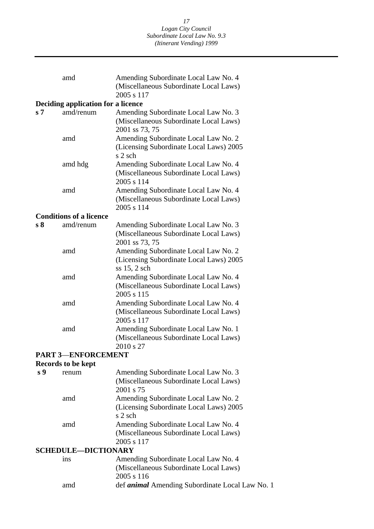|                | amd                                | Amending Subordinate Local Law No. 4                      |
|----------------|------------------------------------|-----------------------------------------------------------|
|                |                                    | (Miscellaneous Subordinate Local Laws)                    |
|                |                                    | 2005 s 117                                                |
|                | Deciding application for a licence |                                                           |
| s <sub>7</sub> | amd/renum                          | Amending Subordinate Local Law No. 3                      |
|                |                                    | (Miscellaneous Subordinate Local Laws)                    |
|                |                                    | 2001 ss 73, 75                                            |
|                | amd                                | Amending Subordinate Local Law No. 2                      |
|                |                                    | (Licensing Subordinate Local Laws) 2005<br>s 2 sch        |
|                | amd hdg                            | Amending Subordinate Local Law No. 4                      |
|                |                                    | (Miscellaneous Subordinate Local Laws)<br>2005 s 114      |
|                | amd                                | Amending Subordinate Local Law No. 4                      |
|                |                                    | (Miscellaneous Subordinate Local Laws)<br>2005 s 114      |
|                | <b>Conditions of a licence</b>     |                                                           |
| s <sub>8</sub> | amd/renum                          | Amending Subordinate Local Law No. 3                      |
|                |                                    | (Miscellaneous Subordinate Local Laws)<br>2001 ss 73, 75  |
|                | amd                                | Amending Subordinate Local Law No. 2                      |
|                |                                    | (Licensing Subordinate Local Laws) 2005<br>$ss$ 15, 2 sch |
|                | amd                                | Amending Subordinate Local Law No. 4                      |
|                |                                    | (Miscellaneous Subordinate Local Laws)<br>2005 s 115      |
|                | amd                                | Amending Subordinate Local Law No. 4                      |
|                |                                    | (Miscellaneous Subordinate Local Laws)<br>2005 s 117      |
|                | amd                                | Amending Subordinate Local Law No. 1                      |
|                |                                    | (Miscellaneous Subordinate Local Laws)<br>2010 s 27       |
|                | <b>PART 3-ENFORCEMENT</b>          |                                                           |
|                | Records to be kept                 |                                                           |
| s <sub>9</sub> | renum                              | Amending Subordinate Local Law No. 3                      |
|                |                                    | (Miscellaneous Subordinate Local Laws)<br>2001 s 75       |
|                | amd                                | Amending Subordinate Local Law No. 2                      |
|                |                                    | (Licensing Subordinate Local Laws) 2005                   |
|                |                                    | s 2 sch                                                   |
|                | amd                                | Amending Subordinate Local Law No. 4                      |
|                |                                    | (Miscellaneous Subordinate Local Laws)<br>2005 s 117      |
|                | <b>SCHEDULE-DICTIONARY</b>         |                                                           |
|                | ins                                | Amending Subordinate Local Law No. 4                      |
|                |                                    | (Miscellaneous Subordinate Local Laws)                    |
|                |                                    | 2005 s 116                                                |
|                | amd                                | def <i>animal</i> Amending Subordinate Local Law No. 1    |